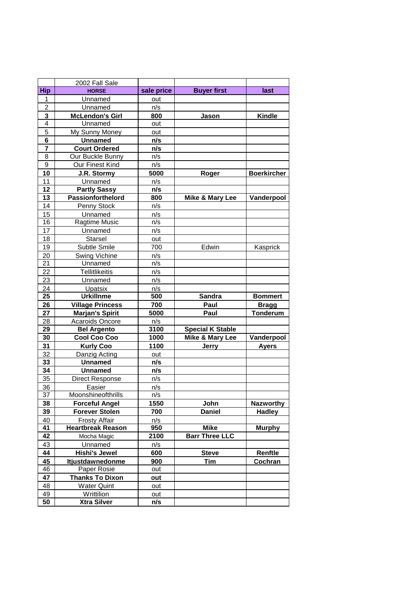|                         | 2002 Fall Sale           |            |                            |                    |
|-------------------------|--------------------------|------------|----------------------------|--------------------|
| <b>Hip</b>              | <b>HORSE</b>             | sale price | <b>Buyer first</b>         | last               |
| 1                       | Unnamed                  | out        |                            |                    |
| $\overline{\mathbf{c}}$ | Unnamed                  | n/s        |                            |                    |
| 3                       | <b>McLendon's Girl</b>   | 800        | Jason                      | <b>Kindle</b>      |
| 4                       | Unnamed                  | out        |                            |                    |
| 5                       | My Sunny Money           | out        |                            |                    |
| 6                       | <b>Unnamed</b>           | n/s        |                            |                    |
| $\overline{7}$          | <b>Court Ordered</b>     | n/s        |                            |                    |
| 8                       | Our Buckle Bunny         | n/s        |                            |                    |
| 9                       | Our Finest Kind          | n/s        |                            |                    |
| 10                      | J.R. Stormy              | 5000       | Roger                      | <b>Boerkircher</b> |
| 11                      | Unnamed                  | n/s        |                            |                    |
| 12                      | <b>Partly Sassy</b>      | n/s        |                            |                    |
| 13                      | Passionforthelord        | 800        | Mike & Mary Lee            | Vanderpool         |
| 14                      | Penny Stock              | n/s        |                            |                    |
| 15                      | Unnamed                  | n/s        |                            |                    |
| 16                      | Ragtime Music            | n/s        |                            |                    |
| 17                      | Unnamed                  | n/s        |                            |                    |
| 18                      | <b>Starsel</b>           | out        |                            |                    |
| 19                      | Subtle Smile             | 700        | Edwin                      | Kasprick           |
| 20                      | Swing Vichine            | n/s        |                            |                    |
| 21                      | Unnamed                  | n/s        |                            |                    |
| 22                      | <b>Tellitlikeitis</b>    | n/s        |                            |                    |
| 23                      | Unnamed                  | n/s        |                            |                    |
| 24                      | Upatsix                  | n/s        |                            |                    |
| 25                      | <b>Urkillnme</b>         | 500        | <b>Sandra</b>              | <b>Bommert</b>     |
| 26                      | <b>Village Princess</b>  | 700        | Paul                       | <b>Bragg</b>       |
| 27                      | Marjan's Spirit          | 5000       | Paul                       | <b>Tonderum</b>    |
| 28                      | Acaroids Oncore          | n/s        |                            |                    |
| 29                      | <b>Bel Argento</b>       | 3100       | <b>Special K Stable</b>    |                    |
| 30                      | Cool Coo Coo             | 1000       | <b>Mike &amp; Mary Lee</b> | Vanderpool         |
| 31                      | <b>Kurly Coo</b>         | 1100       | <b>Jerry</b>               | <b>Ayers</b>       |
| 32                      | Danzig Acting            | out        |                            |                    |
| 33                      | <b>Unnamed</b>           | n/s        |                            |                    |
| 34                      | <b>Unnamed</b>           | n/s        |                            |                    |
| 35                      | Direct Response          | n/s        |                            |                    |
| 36                      | <b>Easier</b>            | n/s        |                            |                    |
| 37                      | Moonshineofthrills       | n/s        |                            |                    |
| 38                      | <b>Forceful Angel</b>    | 1550       | John                       | <b>Nazworthy</b>   |
| 39                      | <b>Forever Stolen</b>    | 700        | <b>Daniel</b>              | <b>Hadley</b>      |
| 40                      | <b>Frosty Affair</b>     | n/s        |                            |                    |
| $\overline{41}$         | <b>Heartbreak Reason</b> | 950        | <b>Mike</b>                | <b>Murphy</b>      |
| 42                      | Mocha Magic              | 2100       | <b>Barr Three LLC</b>      |                    |
| 43                      | Unnamed                  | n/s        |                            |                    |
| 44                      | <b>Hishi's Jewel</b>     | 600        | <b>Steve</b>               | Renftle            |
| 45                      | <b>Itjustdawnedonme</b>  | 900        | <b>Tim</b>                 | Cochran            |
| 46                      | Paper Rosie              | out        |                            |                    |
| 47                      | <b>Thanks To Dixon</b>   | out        |                            |                    |
| 48                      | <b>Water Quint</b>       | out        |                            |                    |
| 49                      | Writtilion               | out        |                            |                    |
| 50                      | <b>Xtra Silver</b>       | n/s        |                            |                    |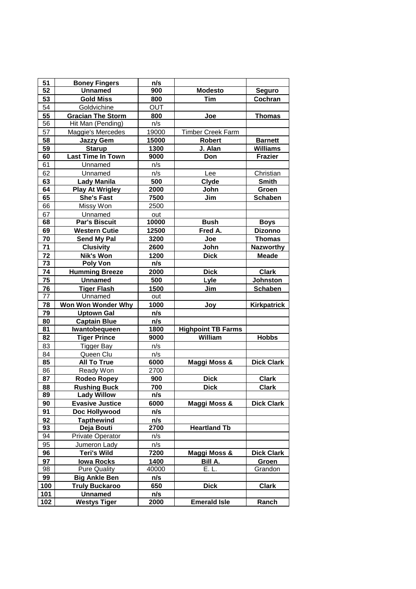| 51                    | <b>Boney Fingers</b>                  | n/s         |                           |                    |
|-----------------------|---------------------------------------|-------------|---------------------------|--------------------|
| 52                    | <b>Unnamed</b>                        | 900         | <b>Modesto</b>            | <b>Seguro</b>      |
| 53                    | <b>Gold Miss</b>                      | 800         | <b>Tim</b>                | Cochran            |
| 54                    | Goldvichine                           | <b>OUT</b>  |                           |                    |
| 55                    | <b>Gracian The Storm</b>              | 800         | Joe                       | <b>Thomas</b>      |
| 56                    | Hit Man (Pending)                     | n/s         |                           |                    |
| 57                    | Maggie's Mercedes                     | 19000       | <b>Timber Creek Farm</b>  |                    |
| 58                    | <b>Jazzy Gem</b>                      | 15000       | <b>Robert</b>             | <b>Barnett</b>     |
| 59                    | <b>Starup</b>                         | 1300        | J. Alan                   | <b>Williams</b>    |
| 60                    | Last Time In Town                     | 9000        | Don                       | <b>Frazier</b>     |
| 61                    | Unnamed                               | n/s         |                           |                    |
| 62                    | Unnamed                               | n/s         | Lee                       | Christian          |
| 63                    | <b>Lady Manila</b>                    | 500         | Clyde                     | <b>Smith</b>       |
| 64                    | <b>Play At Wrigley</b>                | 2000        | John                      | Groen              |
| 65                    | <b>She's Fast</b>                     | 7500        | Jim                       | <b>Schaben</b>     |
| 66                    | Missy Won                             | 2500        |                           |                    |
| 67                    | Unnamed                               | out         |                           |                    |
| 68                    | <b>Par's Biscuit</b>                  | 10000       | <b>Bush</b>               | <b>Boys</b>        |
| 69                    | <b>Western Cutie</b>                  | 12500       | Fred A.                   | <b>Dizonno</b>     |
| 70                    | <b>Send My Pal</b>                    | 3200        | Joe                       | <b>Thomas</b>      |
| 71                    | <b>Clusivity</b>                      | 2600        | John                      | <b>Nazworthy</b>   |
| 72                    | <b>Nik's Won</b>                      | 1200        | <b>Dick</b>               | <b>Meade</b>       |
| 73                    | <b>Poly Von</b>                       | n/s         |                           |                    |
| 74                    | <b>Humming Breeze</b>                 | 2000        | <b>Dick</b>               | <b>Clark</b>       |
| 75                    | <b>Unnamed</b>                        | 500         | Lyle                      | <b>Johnston</b>    |
| 76                    | <b>Tiger Flash</b>                    | 1500        | Jim                       | <b>Schaben</b>     |
| 77                    | Unnamed                               | out         |                           |                    |
| 78                    | Won Won Wonder Why                    | 1000        | Joy                       | <b>Kirkpatrick</b> |
| 79                    | <b>Uptown Gal</b>                     | n/s         |                           |                    |
| 80                    | <b>Captain Blue</b>                   | n/s         |                           |                    |
| 81                    | Iwantobequeen                         | 1800        | <b>Highpoint TB Farms</b> |                    |
| 82                    | <b>Tiger Prince</b>                   | 9000        | William                   | <b>Hobbs</b>       |
| 83                    | Tigger Bay                            | n/s         |                           |                    |
| 84                    | Queen Clu                             | n/s         |                           |                    |
| 85                    | <b>All To True</b>                    | 6000        | Maggi Moss &              | <b>Dick Clark</b>  |
| 86                    | Ready Won                             | 2700        |                           |                    |
| 87                    | Rodeo Ropey                           | 900         | <b>Dick</b>               | <b>Clark</b>       |
| 88                    | <b>Rushing Buck</b>                   | 700         | <b>Dick</b>               | <b>Clark</b>       |
| 89                    | <b>Lady Willow</b>                    | n/s         |                           |                    |
| 90                    | <b>Evasive Justice</b>                | 6000        | Maggi Moss &              | <b>Dick Clark</b>  |
|                       |                                       | n/s         |                           |                    |
| 91                    | Doc Hollywood                         |             |                           |                    |
| 92<br>$\overline{93}$ | <b>Tapthewind</b><br>Deja Bouti       | n/s<br>2700 | <b>Heartland Tb</b>       |                    |
|                       |                                       |             |                           |                    |
| 94                    |                                       |             |                           |                    |
|                       | <b>Private Operator</b>               | n/s         |                           |                    |
| 95                    | Jumeron Lady                          | n/s         |                           |                    |
| 96                    | <b>Teri's Wild</b>                    | 7200        | Maggi Moss &              | <b>Dick Clark</b>  |
| 97                    | <b>Iowa Rocks</b>                     | 1400        | Bill A.                   | Groen              |
| 98                    | <b>Pure Quality</b>                   | 40000       | E. L.                     | Grandon            |
| 99                    | <b>Big Ankle Ben</b>                  | n/s         |                           |                    |
| 100                   | <b>Truly Buckaroo</b>                 | 650         | <b>Dick</b>               | <b>Clark</b>       |
| 101<br>102            | <b>Unnamed</b><br><b>Westys Tiger</b> | n/s<br>2000 | <b>Emerald Isle</b>       | Ranch              |